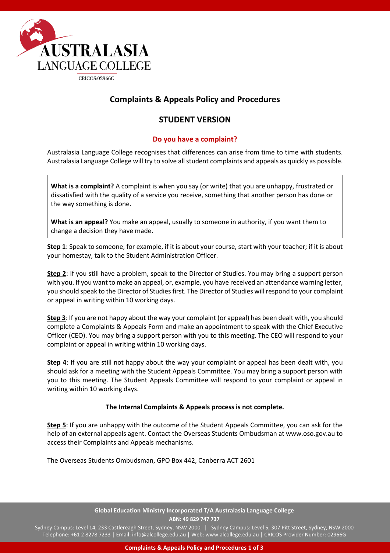

## **Complaints & Appeals Policy and Procedures**

## **STUDENT VERSION**

### **Do you have a complaint?**

Australasia Language College recognises that differences can arise from time to time with students. Australasia Language College will try to solve all student complaints and appeals as quickly as possible.

**What is a complaint?** A complaint is when you say (or write) that you are unhappy, frustrated or dissatisfied with the quality of a service you receive, something that another person has done or the way something is done.

**What is an appeal?** You make an appeal, usually to someone in authority, if you want them to change a decision they have made.

**Step 1**: Speak to someone, for example, if it is about your course, start with your teacher; if it is about your homestay, talk to the Student Administration Officer.

**Step 2**: If you still have a problem, speak to the Director of Studies. You may bring a support person with you. If you want to make an appeal, or, example, you have received an attendance warning letter, you should speak to the Director of Studies first. The Director of Studies will respond to your complaint or appeal in writing within 10 working days.

**Step 3**: If you are not happy about the way your complaint (or appeal) has been dealt with, you should complete a Complaints & Appeals Form and make an appointment to speak with the Chief Executive Officer (CEO). You may bring a support person with you to this meeting. The CEO will respond to your complaint or appeal in writing within 10 working days.

**Step 4**: If you are still not happy about the way your complaint or appeal has been dealt with, you should ask for a meeting with the Student Appeals Committee. You may bring a support person with you to this meeting. The Student Appeals Committee will respond to your complaint or appeal in writing within 10 working days.

#### **The Internal Complaints & Appeals process is not complete.**

**Step 5**: If you are unhappy with the outcome of the Student Appeals Committee, you can ask for the help of an external appeals agent. Contact the Overseas Students Ombudsman at www.oso.gov.au to access their Complaints and Appeals mechanisms.

The Overseas Students Ombudsman, GPO Box 442, Canberra ACT 2601

#### **Global Education Ministry Incorporated T/A Australasia Language College ABN: 49 829 747 737**

Sydney Campus: Level 14, 233 Castlereagh Street, Sydney, NSW 2000 | Sydney Campus: Level 5, 307 Pitt Street, Sydney, NSW 2000 Telephone: +61 2 8278 7233 | Email: info@alcollege.edu.au | Web: www.alcollege.edu.au | CRICOS Provider Number: 02966G

**Complaints & Appeals Policy and Procedures 1 of 3**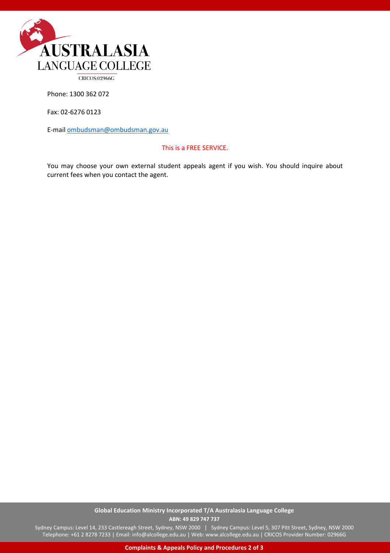

**CRICOS:02966G** 

Phone: 1300 362 072

Fax: 02-6276 0123

E-mai[l ombudsman@ombudsman.gov.au](mailto:ombudsman@ombudsman.gov.au)

#### This is a FREE SERVICE.

You may choose your own external student appeals agent if you wish. You should inquire about current fees when you contact the agent.

#### **Global Education Ministry Incorporated T/A Australasia Language College ABN: 49 829 747 737**

Sydney Campus: Level 14, 233 Castlereagh Street, Sydney, NSW 2000 | Sydney Campus: Level 5, 307 Pitt Street, Sydney, NSW 2000 Telephone: +61 2 8278 7233 | Email: info@alcollege.edu.au | Web: www.alcollege.edu.au | CRICOS Provider Number: 02966G

**Complaints & Appeals Policy and Procedures 2 of 3**